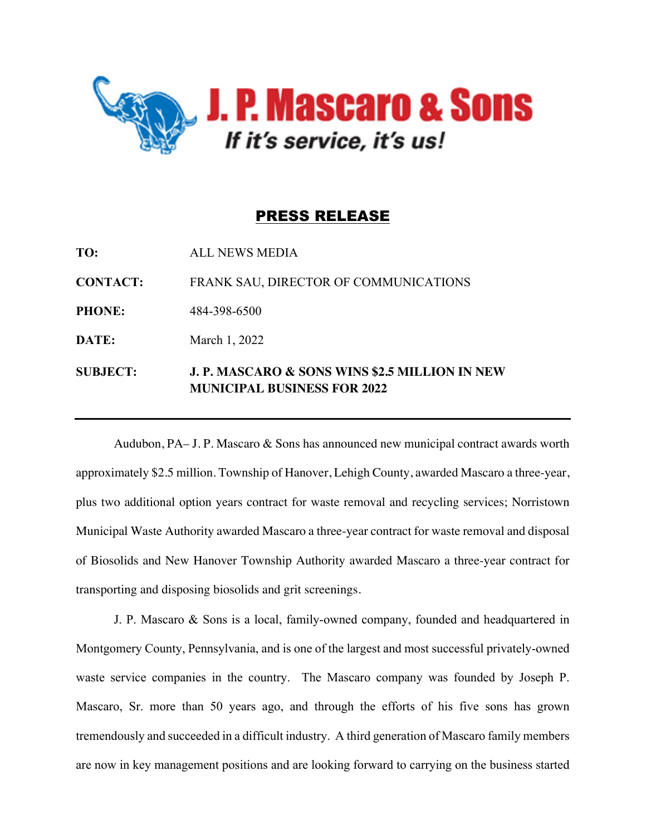

## PRESS RELEASE

| <b>SUBJECT:</b> | <b>J. P. MASCARO &amp; SONS WINS \$2.5 MILLION IN NEW</b><br><b>MUNICIPAL BUSINESS FOR 2022</b> |
|-----------------|-------------------------------------------------------------------------------------------------|
| DATE:           | March 1, 2022                                                                                   |
| <b>PHONE:</b>   | 484-398-6500                                                                                    |
| <b>CONTACT:</b> | FRANK SAU, DIRECTOR OF COMMUNICATIONS                                                           |
| TO:             | <b>ALL NEWS MEDIA</b>                                                                           |

Audubon, PA– J. P. Mascaro & Sons has announced new municipal contract awards worth approximately \$2.5 million. Township of Hanover, Lehigh County, awarded Mascaro a three-year, plus two additional option years contract for waste removal and recycling services; Norristown Municipal Waste Authority awarded Mascaro a three-year contract for waste removal and disposal of Biosolids and New Hanover Township Authority awarded Mascaro a three-year contract for transporting and disposing biosolids and grit screenings.

J. P. Mascaro & Sons is a local, family-owned company, founded and headquartered in Montgomery County, Pennsylvania, and is one of the largest and most successful privately-owned waste service companies in the country. The Mascaro company was founded by Joseph P. Mascaro, Sr. more than 50 years ago, and through the efforts of his five sons has grown tremendously and succeeded in a difficult industry. A third generation of Mascaro family members are now in key management positions and are looking forward to carrying on the business started